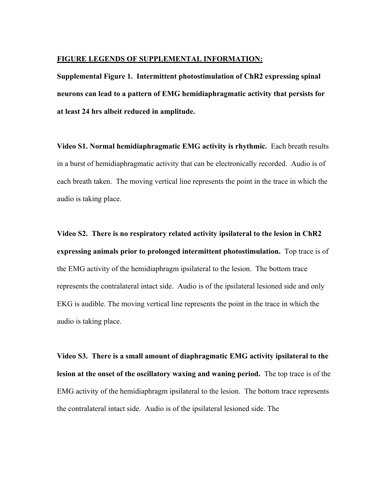## **FIGURE LEGENDS OF SUPPLEMENTAL INFORMATION:**

**Supplemental Figure 1. Intermittent photostimulation of ChR2 expressing spinal neurons can lead to a pattern of EMG hemidiaphragmatic activity that persists for at least 24 hrs albeit reduced in amplitude.**

**Video S1. Normal hemidiaphragmatic EMG activity is rhythmic.** Each breath results in a burst of hemidiaphragmatic activity that can be electronically recorded. Audio is of each breath taken. The moving vertical line represents the point in the trace in which the audio is taking place.

**Video S2. There is no respiratory related activity ipsilateral to the lesion in ChR2 expressing animals prior to prolonged intermittent photostimulation.** Top trace is of the EMG activity of the hemidiaphragm ipsilateral to the lesion. The bottom trace represents the contralateral intact side. Audio is of the ipsilateral lesioned side and only EKG is audible. The moving vertical line represents the point in the trace in which the audio is taking place.

**Video S3. There is a small amount of diaphragmatic EMG activity ipsilateral to the lesion at the onset of the oscillatory waxing and waning period.** The top trace is of the EMG activity of the hemidiaphragm ipsilateral to the lesion. The bottom trace represents the contralateral intact side. Audio is of the ipsilateral lesioned side. The